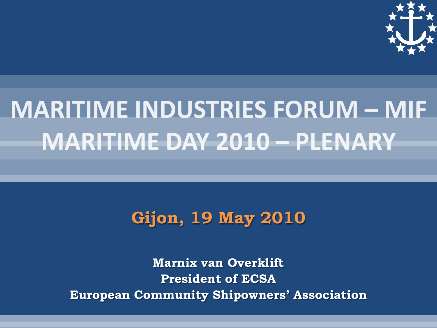

# **MARITIME INDUSTRIES FORUM - MIF MARITIME DAY 2010 - PLENARY**

#### **Gijon, 19 May 2010**

**Marnix van Overklift President of ECSA European Community Shipowners' Association**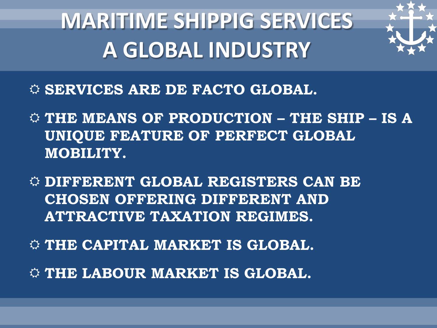# **MARITIME SHIPPIG SERVICES A GLOBAL INDUSTRY**



- **SERVICES ARE DE FACTO GLOBAL.**
- **THE MEANS OF PRODUCTION – THE SHIP – IS A UNIQUE FEATURE OF PERFECT GLOBAL MOBILITY.**
- **DIFFERENT GLOBAL REGISTERS CAN BE CHOSEN OFFERING DIFFERENT AND ATTRACTIVE TAXATION REGIMES.**
- **THE CAPITAL MARKET IS GLOBAL.**
- **THE LABOUR MARKET IS GLOBAL.**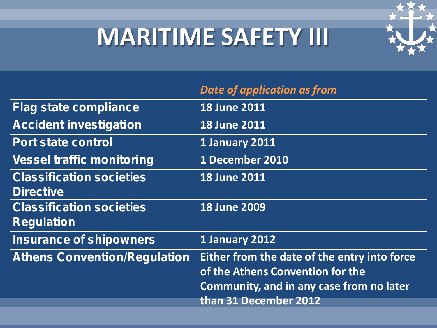# **MARITIME SAFETY III**



|                                                      | <b>Date of application as from</b>                                                                                                                    |
|------------------------------------------------------|-------------------------------------------------------------------------------------------------------------------------------------------------------|
| <b>Flag state compliance</b>                         | <b>18 June 2011</b>                                                                                                                                   |
| <b>Accident investigation</b>                        | <b>18 June 2011</b>                                                                                                                                   |
| <b>Port state control</b>                            | 1 January 2011                                                                                                                                        |
| <b>Vessel traffic monitoring</b>                     | 1 December 2010                                                                                                                                       |
| <b>Classification societies</b><br><b>Directive</b>  | <b>18 June 2011</b>                                                                                                                                   |
| <b>Classification societies</b><br><b>Regulation</b> | <b>18 June 2009</b>                                                                                                                                   |
| <b>Insurance of shipowners</b>                       | 1 January 2012                                                                                                                                        |
| <b>Athens Convention/Regulation</b>                  | Either from the date of the entry into force<br>of the Athens Convention for the<br>Community, and in any case from no later<br>than 31 December 2012 |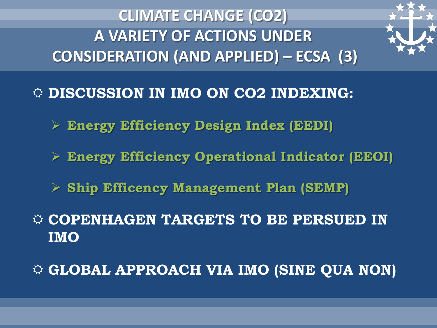**CLIMATE CHANGE (CO2) A VARIETY OF ACTIONS UNDER CONSIDERATION (AND APPLIED) – ECSA (3)**



**DISCUSSION IN IMO ON CO2 INDEXING:**

- **Energy Efficiency Design Index (EEDI)**
- **Energy Efficiency Operational Indicator (EEOI)**
- **Ship Efficency Management Plan (SEMP)**
- **COPENHAGEN TARGETS TO BE PERSUED IN IMO**

**GLOBAL APPROACH VIA IMO (SINE QUA NON)**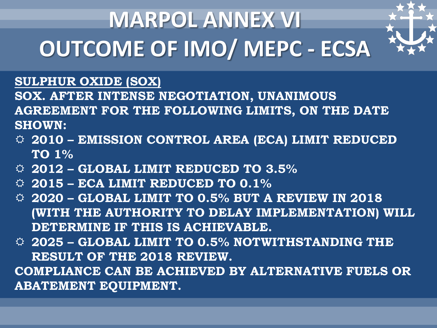# **MARPOL ANNEX VI OUTCOME OF IMO/ MEPC - ECSA**



#### **SULPHUR OXIDE (SOX)**

**SOX. AFTER INTENSE NEGOTIATION, UNANIMOUS AGREEMENT FOR THE FOLLOWING LIMITS, ON THE DATE SHOWN:**

- **2010 – EMISSION CONTROL AREA (ECA) LIMIT REDUCED TO 1%**
- **2012 – GLOBAL LIMIT REDUCED TO 3.5%**
- **2015 – ECA LIMIT REDUCED TO 0.1%**
- **2020 – GLOBAL LIMIT TO 0.5% BUT A REVIEW IN 2018 (WITH THE AUTHORITY TO DELAY IMPLEMENTATION) WILL DETERMINE IF THIS IS ACHIEVABLE.**
- **2025 – GLOBAL LIMIT TO 0.5% NOTWITHSTANDING THE RESULT OF THE 2018 REVIEW. COMPLIANCE CAN BE ACHIEVED BY ALTERNATIVE FUELS OR ABATEMENT EQUIPMENT.**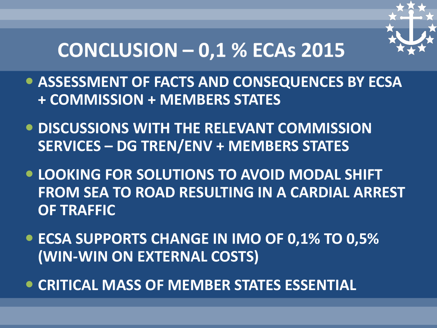

### **CONCLUSION – 0,1 % ECAs 2015**

- **ASSESSMENT OF FACTS AND CONSEQUENCES BY ECSA + COMMISSION + MEMBERS STATES**
- **DISCUSSIONS WITH THE RELEVANT COMMISSION SERVICES – DG TREN/ENV + MEMBERS STATES**
- **LOOKING FOR SOLUTIONS TO AVOID MODAL SHIFT FROM SEA TO ROAD RESULTING IN A CARDIAL ARREST OF TRAFFIC**
- **ECSA SUPPORTS CHANGE IN IMO OF 0,1% TO 0,5% (WIN-WIN ON EXTERNAL COSTS)**
- **CRITICAL MASS OF MEMBER STATES ESSENTIAL**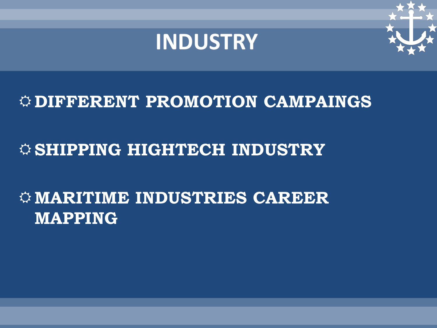



### **DIFFERENT PROMOTION CAMPAINGS**

### $\Leftrightarrow$  SHIPPING HIGHTECH INDUSTRY

### **MARITIME INDUSTRIES CAREER MAPPING**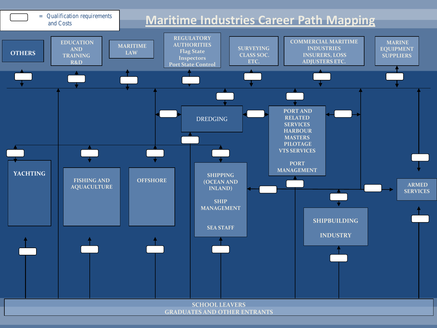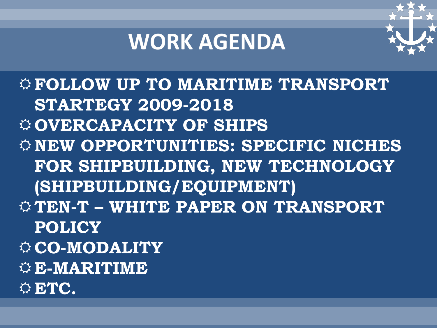### **WORK AGENDA**



**FOLLOW UP TO MARITIME TRANSPORT STARTEGY 2009-2018 OVERCAPACITY OF SHIPS NEW OPPORTUNITIES: SPECIFIC NICHES FOR SHIPBUILDING, NEW TECHNOLOGY (SHIPBUILDING/EQUIPMENT) TEN-T – WHITE PAPER ON TRANSPORT POLICY CO-MODALITY E-MARITIME ETC.**